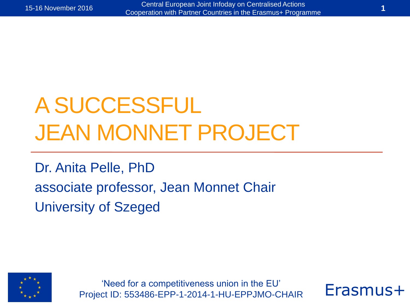## A SUCCESSFUL JEAN MONNET PROJECT

Dr. Anita Pelle, PhD associate professor, Jean Monnet Chair University of Szeged



'Need for a competitiveness union in the EU' Project ID: 553486-EPP-1-2014-1-HU-EPPJMO-CHAIR

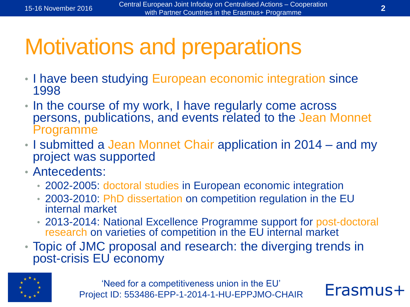## Motivations and preparations

- I have been studying European economic integration since 1998
- In the course of my work, I have regularly come across persons, publications, and events related to the Jean Monnet Programme
- I submitted a Jean Monnet Chair application in 2014 and my project was supported
- Antecedents:
	- 2002-2005: doctoral studies in European economic integration
	- 2003-2010: PhD dissertation on competition regulation in the EU internal market
	- 2013-2014: National Excellence Programme support for post-doctoral research on varieties of competition in the EU internal market
- Topic of JMC proposal and research: the diverging trends in post-crisis EU economy



'Need for a competitiveness union in the EU' Project ID: 553486-EPP-1-2014-1-HU-EPPJMO-CHAIR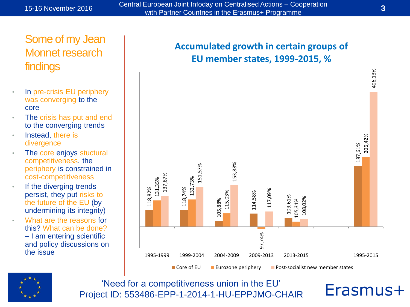15-16 November 2016 Central European Joint Infoday on Centralised Actions – Cooperation with Partner Countries in the Erasmus+ Programme **<sup>3</sup>**

#### Some of my Jean Monnet research findings

- In pre-crisis EU periphery was converging to the core
- The crisis has put and end to the converging trends
- Instead, there is divergence
- The core enjoys stuctural competitiveness, the periphery is constrained in cost-competitiveness
- If the diverging trends persist, they put risks to the future of the EU (by undermining its integrity)
- What are the reasons for this? What can be done? – I am entering scientific and policy discussions on the issue

#### **Accumulated growth in certain groups of EU member states, 1999-2015, %**





'Need for a competitiveness union in the EU' Project ID: 553486-EPP-1-2014-1-HU-EPPJMO-CHAIR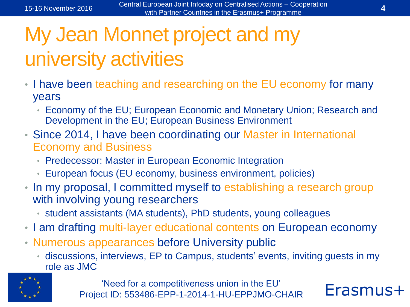### My Jean Monnet project and my university activities

- I have been teaching and researching on the EU economy for many years
	- Economy of the EU; European Economic and Monetary Union; Research and Development in the EU; European Business Environment
- Since 2014, I have been coordinating our Master in International Economy and Business
	- Predecessor: Master in European Economic Integration
	- European focus (EU economy, business environment, policies)
- In my proposal, I committed myself to establishing a research group with involving young researchers
	- student assistants (MA students), PhD students, young colleagues
- I am drafting multi-layer educational contents on European economy
- Numerous appearances before University public
	- discussions, interviews, EP to Campus, students' events, inviting guests in my role as JMC



'Need for a competitiveness union in the EU' Project ID: 553486-EPP-1-2014-1-HU-EPPJMO-CHAIR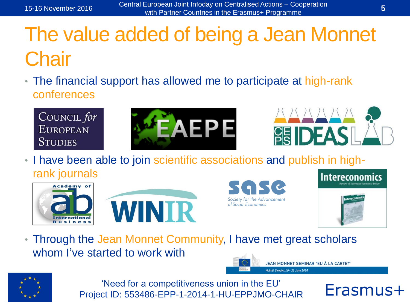#### The value added of being a Jean Monnet **Chair**

• The financial support has allowed me to participate at high-rank conferences

COUNCIL for **EUROPEAN STUDIES** 





JEAN MONNET SEMINAR "EU À LA CARTE?"

Malmö, Sweden, 19 - 21 June 2016

• I have been able to join scientific associations and publish in highrank journals









• Through the Jean Monnet Community, I have met great scholars whom I've started to work with



'Need for a competitiveness union in the EU' Project ID: 553486-EPP-1-2014-1-HU-EPPJMO-CHAIR

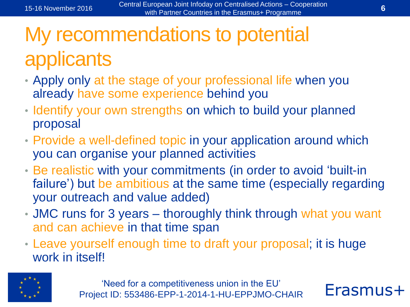### My recommendations to potential applicants

- Apply only at the stage of your professional life when you already have some experience behind you
- Identify your own strengths on which to build your planned proposal
- Provide a well-defined topic in your application around which you can organise your planned activities
- Be realistic with your commitments (in order to avoid 'built-in failure') but be ambitious at the same time (especially regarding your outreach and value added)
- JMC runs for 3 years thoroughly think through what you want and can achieve in that time span
- Leave yourself enough time to draft your proposal; it is huge work in itself!



'Need for a competitiveness union in the EU' Project ID: 553486-EPP-1-2014-1-HU-EPPJMO-CHAIR